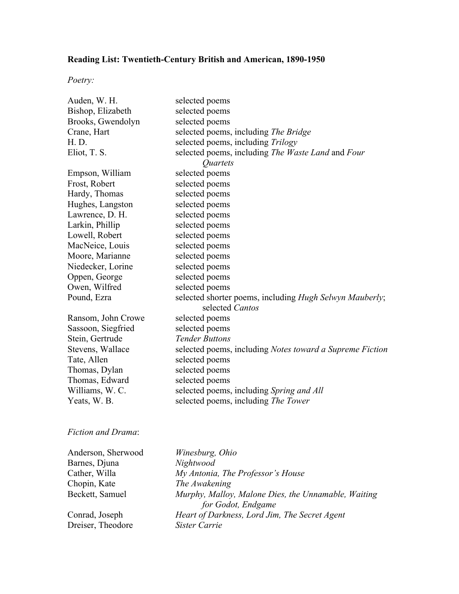## **Reading List: Twentieth-Century British and American, 1890-1950**

*Poetry:*

| Auden, W. H.       | selected poems                                                             |  |
|--------------------|----------------------------------------------------------------------------|--|
| Bishop, Elizabeth  | selected poems                                                             |  |
| Brooks, Gwendolyn  | selected poems                                                             |  |
| Crane, Hart        | selected poems, including The Bridge                                       |  |
| H. D.              | selected poems, including Trilogy                                          |  |
| Eliot, T. S.       | selected poems, including The Waste Land and Four                          |  |
|                    | Quartets                                                                   |  |
| Empson, William    | selected poems                                                             |  |
| Frost, Robert      | selected poems                                                             |  |
| Hardy, Thomas      | selected poems                                                             |  |
| Hughes, Langston   | selected poems                                                             |  |
| Lawrence, D. H.    | selected poems                                                             |  |
| Larkin, Phillip    | selected poems                                                             |  |
| Lowell, Robert     | selected poems                                                             |  |
| MacNeice, Louis    | selected poems                                                             |  |
| Moore, Marianne    | selected poems                                                             |  |
| Niedecker, Lorine  | selected poems                                                             |  |
| Oppen, George      | selected poems                                                             |  |
| Owen, Wilfred      | selected poems                                                             |  |
| Pound, Ezra        | selected shorter poems, including Hugh Selwyn Mauberly;<br>selected Cantos |  |
| Ransom, John Crowe | selected poems                                                             |  |
| Sassoon, Siegfried | selected poems                                                             |  |
| Stein, Gertrude    | <b>Tender Buttons</b>                                                      |  |
| Stevens, Wallace   | selected poems, including Notes toward a Supreme Fiction                   |  |
| Tate, Allen        | selected poems                                                             |  |
| Thomas, Dylan      | selected poems                                                             |  |
| Thomas, Edward     | selected poems                                                             |  |
| Williams, W. C.    | selected poems, including Spring and All                                   |  |
| Yeats, W. B.       | selected poems, including The Tower                                        |  |
|                    |                                                                            |  |

## *Fiction and Drama*:

| Anderson, Sherwood | Winesburg, Ohio                                     |
|--------------------|-----------------------------------------------------|
| Barnes, Djuna      | Nightwood                                           |
| Cather, Willa      | My Antonia, The Professor's House                   |
| Chopin, Kate       | The Awakening                                       |
| Beckett, Samuel    | Murphy, Malloy, Malone Dies, the Unnamable, Waiting |
|                    | for Godot, Endgame                                  |
| Conrad, Joseph     | Heart of Darkness, Lord Jim, The Secret Agent       |
| Dreiser, Theodore  | Sister Carrie                                       |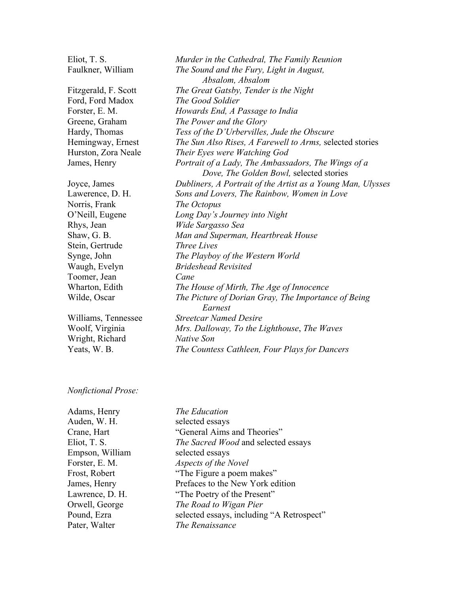Eliot, T. S. *Murder in the Cathedral, The Family Reunion* Faulkner, William *The Sound and the Fury, Light in August, Absalom, Absalom* Fitzgerald, F. Scott *The Great Gatsby, Tender is the Night* Ford, Ford Madox *The Good Soldier* Forster, E. M. *Howards End, A Passage to India* Greene, Graham *The Power and the Glory* Hardy, Thomas *Tess of the D'Urbervilles, Jude the Obscure* Hemingway, Ernest *The Sun Also Rises, A Farewell to Arms,* selected stories Hurston, Zora Neale *Their Eyes were Watching God* James, Henry *Portrait of a Lady, The Ambassadors, The Wings of a Dove, The Golden Bowl,* selected stories Joyce, James *Dubliners, A Portrait of the Artist as a Young Man, Ulysses* Lawerence, D. H. *Sons and Lovers, The Rainbow, Women in Love* Norris, Frank *The Octopus* O'Neill, Eugene *Long Day's Journey into Night* Rhys, Jean *Wide Sargasso Sea* Shaw, G. B. *Man and Superman, Heartbreak House* Stein, Gertrude *Three Lives* Synge, John *The Playboy of the Western World* Waugh, Evelyn *Brideshead Revisited* Toomer, Jean *Cane* Wharton, Edith *The House of Mirth, The Age of Innocence* Wilde, Oscar *The Picture of Dorian Gray, The Importance of Being Earnest* Williams, Tennessee *Streetcar Named Desire* Woolf, Virginia *Mrs. Dalloway, To the Lighthouse*, *The Waves* Wright, Richard *Native Son* Yeats, W. B. *The Countess Cathleen, Four Plays for Dancers*

## *Nonfictional Prose:*

| Adams, Henry    | The Education                             |
|-----------------|-------------------------------------------|
| Auden, W. H.    | selected essays                           |
| Crane, Hart     | "General Aims and Theories"               |
| Eliot, T. S.    | The Sacred Wood and selected essays       |
| Empson, William | selected essays                           |
| Forster, E. M.  | Aspects of the Novel                      |
| Frost, Robert   | "The Figure a poem makes"                 |
| James, Henry    | Prefaces to the New York edition          |
| Lawrence, D. H. | "The Poetry of the Present"               |
| Orwell, George  | The Road to Wigan Pier                    |
| Pound, Ezra     | selected essays, including "A Retrospect" |
| Pater, Walter   | The Renaissance                           |
|                 |                                           |